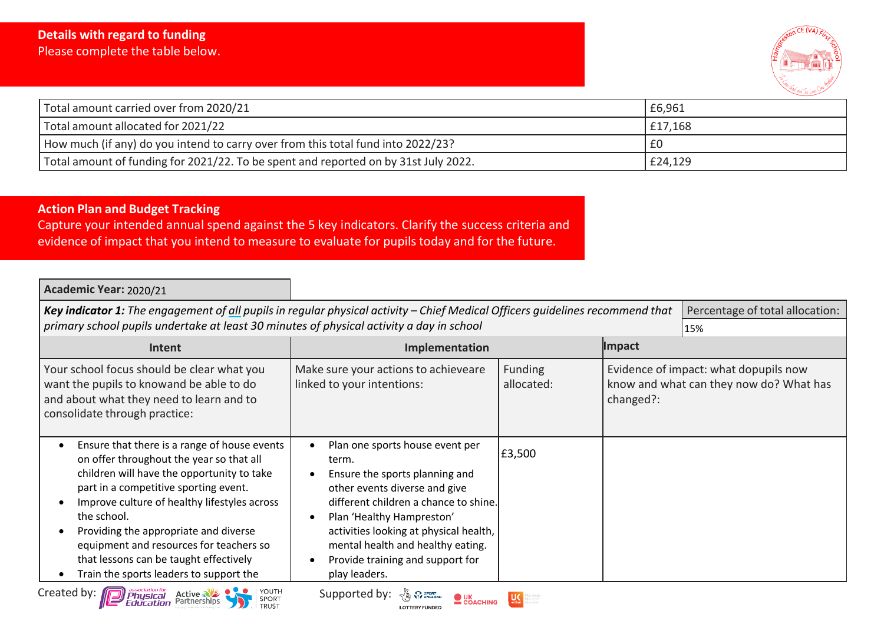

| Total amount carried over from 2020/21                                              | £6,961  |
|-------------------------------------------------------------------------------------|---------|
| Total amount allocated for 2021/22                                                  | £17,168 |
| How much (if any) do you intend to carry over from this total fund into 2022/23?    | £0      |
| Total amount of funding for 2021/22. To be spent and reported on by 31st July 2022. | £24,129 |

## **Action Plan and Budget Tracking**

Capture your intended annual spend against the 5 key indicators. Clarify the success criteria and evidence of impact that you intend to measure to evaluate for pupils today and for the future.

| Academic Year: 2020/21                                                                                                                                                                                                                                                                                                                                                                                                  |                                                                                                                                                                                                                                                                                                                       |                              |           |                                                                                  |  |
|-------------------------------------------------------------------------------------------------------------------------------------------------------------------------------------------------------------------------------------------------------------------------------------------------------------------------------------------------------------------------------------------------------------------------|-----------------------------------------------------------------------------------------------------------------------------------------------------------------------------------------------------------------------------------------------------------------------------------------------------------------------|------------------------------|-----------|----------------------------------------------------------------------------------|--|
| primary school pupils undertake at least 30 minutes of physical activity a day in school                                                                                                                                                                                                                                                                                                                                | Key indicator 1: The engagement of all pupils in regular physical activity - Chief Medical Officers guidelines recommend that                                                                                                                                                                                         |                              |           | Percentage of total allocation:<br>15%                                           |  |
| Intent                                                                                                                                                                                                                                                                                                                                                                                                                  | Impact<br>Implementation                                                                                                                                                                                                                                                                                              |                              |           |                                                                                  |  |
| Your school focus should be clear what you<br>want the pupils to knowand be able to do<br>and about what they need to learn and to<br>consolidate through practice:                                                                                                                                                                                                                                                     | Make sure your actions to achieveare<br>linked to your intentions:                                                                                                                                                                                                                                                    | <b>Funding</b><br>allocated: | changed?: | Evidence of impact: what dopupils now<br>know and what can they now do? What has |  |
| Ensure that there is a range of house events<br>on offer throughout the year so that all<br>children will have the opportunity to take<br>part in a competitive sporting event.<br>Improve culture of healthy lifestyles across<br>the school.<br>Providing the appropriate and diverse<br>equipment and resources for teachers so<br>that lessons can be taught effectively<br>Train the sports leaders to support the | Plan one sports house event per<br>term.<br>Ensure the sports planning and<br>other events diverse and give<br>different children a chance to shine.<br>Plan 'Healthy Hampreston'<br>activities looking at physical health,<br>mental health and healthy eating.<br>Provide training and support for<br>play leaders. | £3,500                       |           |                                                                                  |  |
| YOUTH<br>Created by:<br><i>J Physical</i> Active<br><i>Education</i> Partnerships<br>SPORT<br><b>TRUST</b>                                                                                                                                                                                                                                                                                                              | Supported by:<br>COACHING                                                                                                                                                                                                                                                                                             |                              |           |                                                                                  |  |

**LOTTERY FUNDED**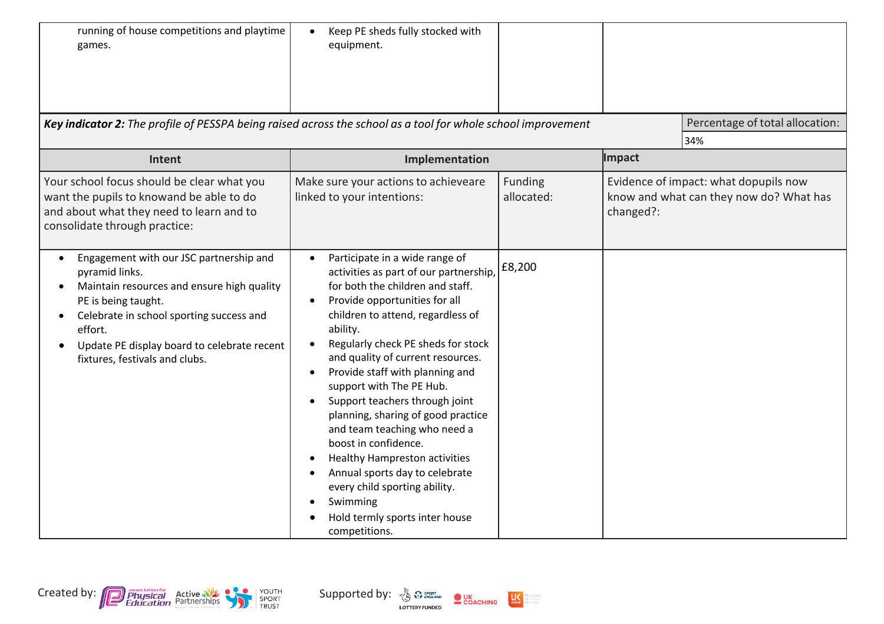| running of house competitions and playtime<br>games.                                                                                                                                                                                                                   | Keep PE sheds fully stocked with<br>$\bullet$<br>equipment.                                                                                                                                                                                                                                                                                                                                                                                                                                                                                                                                                                                                                                                         |                              |           |                                                                                  |
|------------------------------------------------------------------------------------------------------------------------------------------------------------------------------------------------------------------------------------------------------------------------|---------------------------------------------------------------------------------------------------------------------------------------------------------------------------------------------------------------------------------------------------------------------------------------------------------------------------------------------------------------------------------------------------------------------------------------------------------------------------------------------------------------------------------------------------------------------------------------------------------------------------------------------------------------------------------------------------------------------|------------------------------|-----------|----------------------------------------------------------------------------------|
| Key indicator 2: The profile of PESSPA being raised across the school as a tool for whole school improvement                                                                                                                                                           |                                                                                                                                                                                                                                                                                                                                                                                                                                                                                                                                                                                                                                                                                                                     |                              |           | Percentage of total allocation:<br>34%                                           |
| Intent                                                                                                                                                                                                                                                                 | Implementation                                                                                                                                                                                                                                                                                                                                                                                                                                                                                                                                                                                                                                                                                                      |                              | Impact    |                                                                                  |
| Your school focus should be clear what you<br>want the pupils to knowand be able to do<br>and about what they need to learn and to<br>consolidate through practice:                                                                                                    | Make sure your actions to achieveare<br>linked to your intentions:                                                                                                                                                                                                                                                                                                                                                                                                                                                                                                                                                                                                                                                  | <b>Funding</b><br>allocated: | changed?: | Evidence of impact: what dopupils now<br>know and what can they now do? What has |
| Engagement with our JSC partnership and<br>pyramid links.<br>Maintain resources and ensure high quality<br>PE is being taught.<br>Celebrate in school sporting success and<br>effort.<br>Update PE display board to celebrate recent<br>fixtures, festivals and clubs. | Participate in a wide range of<br>$\bullet$<br>activities as part of our partnership,<br>for both the children and staff.<br>Provide opportunities for all<br>$\bullet$<br>children to attend, regardless of<br>ability.<br>Regularly check PE sheds for stock<br>and quality of current resources.<br>Provide staff with planning and<br>$\bullet$<br>support with The PE Hub.<br>Support teachers through joint<br>$\bullet$<br>planning, sharing of good practice<br>and team teaching who need a<br>boost in confidence.<br><b>Healthy Hampreston activities</b><br>Annual sports day to celebrate<br>every child sporting ability.<br>Swimming<br>$\bullet$<br>Hold termly sports inter house<br>competitions. | £8,200                       |           |                                                                                  |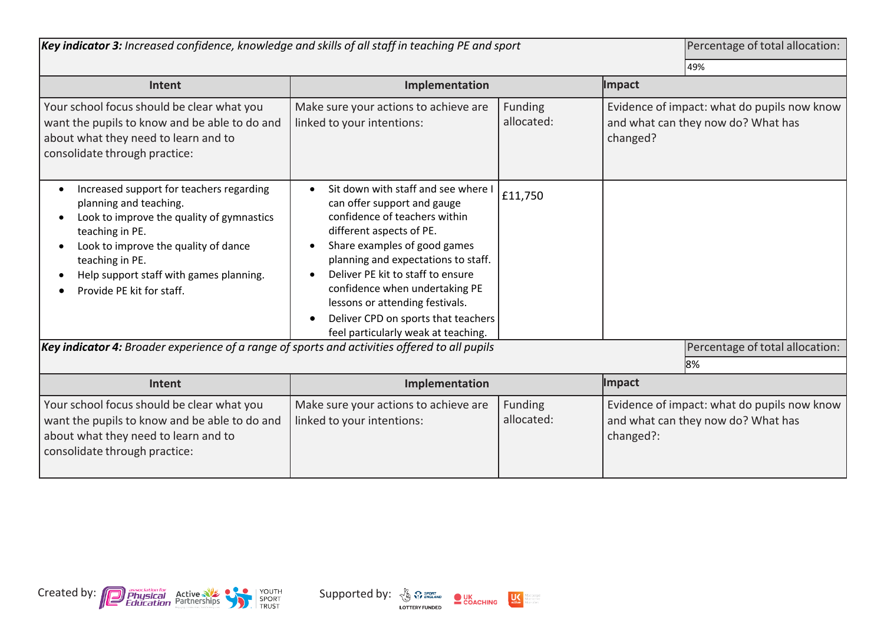| Key indicator 3: Increased confidence, knowledge and skills of all staff in teaching PE and sport                                                                                                                                                                                  |                                                                                                                                                                                                                                                                                                                                                                                                             |                       | Percentage of total allocation:<br>49%                                                         |  |
|------------------------------------------------------------------------------------------------------------------------------------------------------------------------------------------------------------------------------------------------------------------------------------|-------------------------------------------------------------------------------------------------------------------------------------------------------------------------------------------------------------------------------------------------------------------------------------------------------------------------------------------------------------------------------------------------------------|-----------------------|------------------------------------------------------------------------------------------------|--|
| Intent                                                                                                                                                                                                                                                                             | Implementation                                                                                                                                                                                                                                                                                                                                                                                              |                       | Impact                                                                                         |  |
| Your school focus should be clear what you<br>want the pupils to know and be able to do and<br>about what they need to learn and to<br>consolidate through practice:                                                                                                               | Make sure your actions to achieve are<br>linked to your intentions:                                                                                                                                                                                                                                                                                                                                         | Funding<br>allocated: | Evidence of impact: what do pupils now know<br>and what can they now do? What has<br>changed?  |  |
| Increased support for teachers regarding<br>$\bullet$<br>planning and teaching.<br>Look to improve the quality of gymnastics<br>teaching in PE.<br>Look to improve the quality of dance<br>teaching in PE.<br>Help support staff with games planning.<br>Provide PE kit for staff. | Sit down with staff and see where I<br>$\bullet$<br>can offer support and gauge<br>confidence of teachers within<br>different aspects of PE.<br>Share examples of good games<br>planning and expectations to staff.<br>Deliver PE kit to staff to ensure<br>confidence when undertaking PE<br>lessons or attending festivals.<br>Deliver CPD on sports that teachers<br>feel particularly weak at teaching. | £11,750               |                                                                                                |  |
| Key indicator 4: Broader experience of a range of sports and activities offered to all pupils<br>Percentage of total allocation:<br>8%                                                                                                                                             |                                                                                                                                                                                                                                                                                                                                                                                                             |                       |                                                                                                |  |
| Intent                                                                                                                                                                                                                                                                             | Implementation                                                                                                                                                                                                                                                                                                                                                                                              |                       | Impact                                                                                         |  |
| Your school focus should be clear what you<br>want the pupils to know and be able to do and<br>about what they need to learn and to<br>consolidate through practice:                                                                                                               | Make sure your actions to achieve are<br>linked to your intentions:                                                                                                                                                                                                                                                                                                                                         | Funding<br>allocated: | Evidence of impact: what do pupils now know<br>and what can they now do? What has<br>changed?: |  |

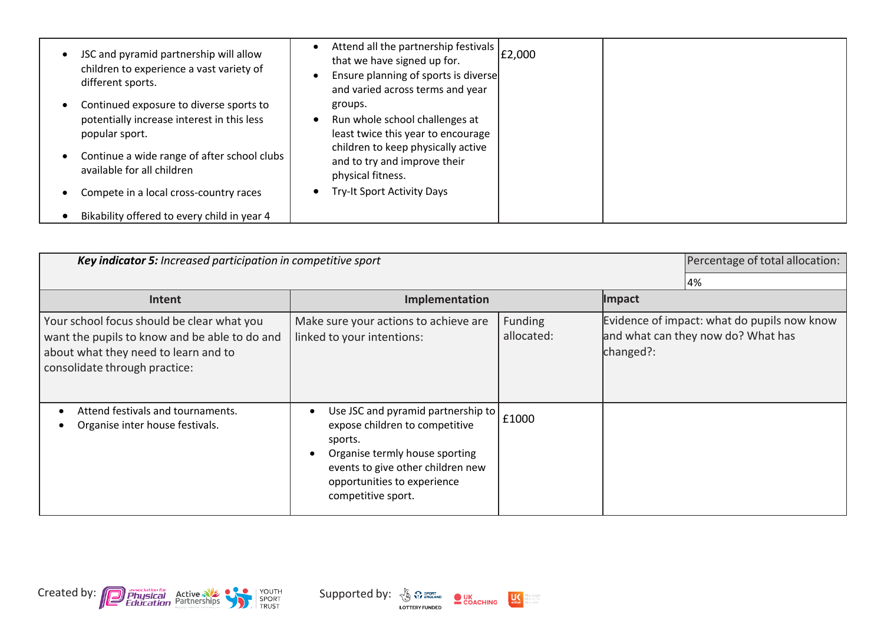| JSC and pyramid partnership will allow<br>children to experience a vast variety of<br>different sports. | Attend all the partnership festivals   £2,000<br>that we have signed up for.<br>Ensure planning of sports is diverse<br>and varied across terms and year |  |
|---------------------------------------------------------------------------------------------------------|----------------------------------------------------------------------------------------------------------------------------------------------------------|--|
| Continued exposure to diverse sports to<br>potentially increase interest in this less<br>popular sport. | groups.<br>Run whole school challenges at<br>least twice this year to encourage                                                                          |  |
| Continue a wide range of after school clubs<br>available for all children                               | children to keep physically active<br>and to try and improve their<br>physical fitness.                                                                  |  |
| Compete in a local cross-country races                                                                  | Try-It Sport Activity Days                                                                                                                               |  |
| Bikability offered to every child in year 4                                                             |                                                                                                                                                          |  |

| <b>Key indicator 5:</b> Increased participation in competitive sport                                                                                                 | Percentage of total allocation:                                                                                                                                                                             |                       |           |                                                                                   |
|----------------------------------------------------------------------------------------------------------------------------------------------------------------------|-------------------------------------------------------------------------------------------------------------------------------------------------------------------------------------------------------------|-----------------------|-----------|-----------------------------------------------------------------------------------|
|                                                                                                                                                                      |                                                                                                                                                                                                             |                       |           | 4%                                                                                |
| Intent                                                                                                                                                               | Impact<br>Implementation                                                                                                                                                                                    |                       |           |                                                                                   |
| Your school focus should be clear what you<br>want the pupils to know and be able to do and<br>about what they need to learn and to<br>consolidate through practice: | Make sure your actions to achieve are<br>linked to your intentions:                                                                                                                                         | Funding<br>allocated: | changed?: | Evidence of impact: what do pupils now know<br>and what can they now do? What has |
| Attend festivals and tournaments.<br>Organise inter house festivals.                                                                                                 | Use JSC and pyramid partnership to<br>expose children to competitive<br>sports.<br>Organise termly house sporting<br>events to give other children new<br>opportunities to experience<br>competitive sport. | £1000                 |           |                                                                                   |